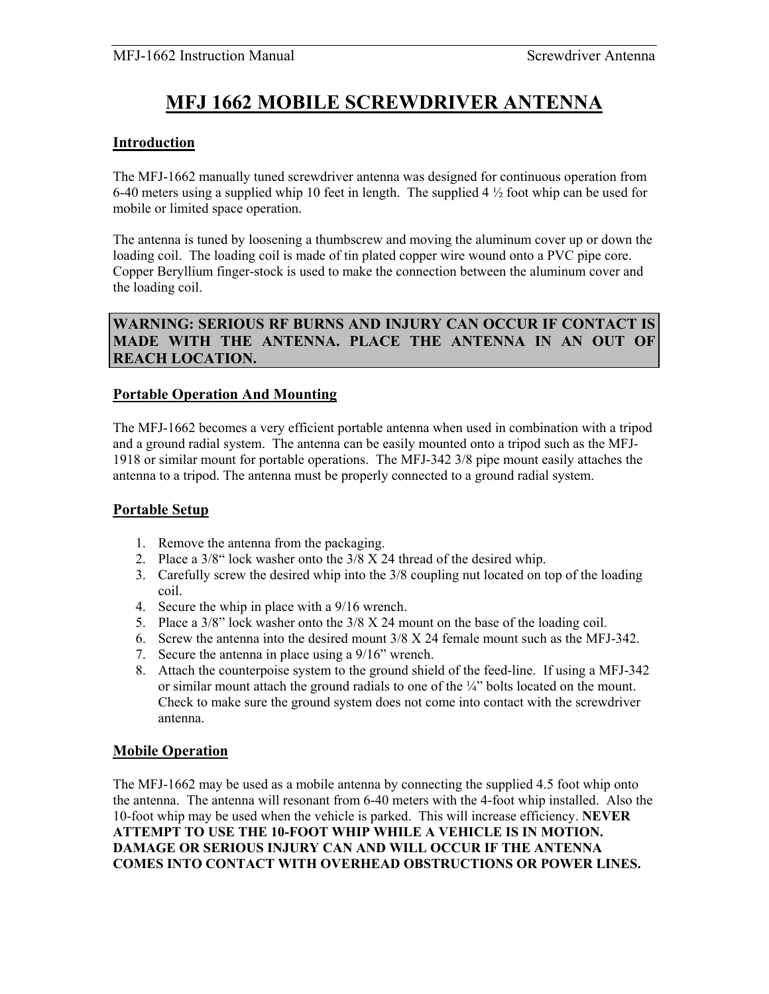# **MFJ 1662 MOBILE SCREWDRIVER ANTENNA**

# **Introduction**

The MFJ-1662 manually tuned screwdriver antenna was designed for continuous operation from 6-40 meters using a supplied whip 10 feet in length. The supplied 4  $\frac{1}{2}$  foot whip can be used for mobile or limited space operation.

The antenna is tuned by loosening a thumbscrew and moving the aluminum cover up or down the loading coil. The loading coil is made of tin plated copper wire wound onto a PVC pipe core. Copper Beryllium finger-stock is used to make the connection between the aluminum cover and the loading coil.

# **WARNING: SERIOUS RF BURNS AND INJURY CAN OCCUR IF CONTACT IS MADE WITH THE ANTENNA. PLACE THE ANTENNA IN AN OUT OF REACH LOCATION.**

# **Portable Operation And Mounting**

The MFJ-1662 becomes a very efficient portable antenna when used in combination with a tripod and a ground radial system. The antenna can be easily mounted onto a tripod such as the MFJ-1918 or similar mount for portable operations. The MFJ-342 3/8 pipe mount easily attaches the antenna to a tripod. The antenna must be properly connected to a ground radial system.

#### **Portable Setup**

- 1. Remove the antenna from the packaging.
- 2. Place a 3/8" lock washer onto the 3/8 X 24 thread of the desired whip.
- 3. Carefully screw the desired whip into the 3/8 coupling nut located on top of the loading coil.
- 4. Secure the whip in place with a 9/16 wrench.
- 5. Place a 3/8" lock washer onto the 3/8 X 24 mount on the base of the loading coil.
- 6. Screw the antenna into the desired mount 3/8 X 24 female mount such as the MFJ-342.
- 7. Secure the antenna in place using a 9/16" wrench.
- 8. Attach the counterpoise system to the ground shield of the feed-line. If using a MFJ-342 or similar mount attach the ground radials to one of the  $\frac{1}{4}$ " bolts located on the mount. Check to make sure the ground system does not come into contact with the screwdriver antenna.

#### **Mobile Operation**

The MFJ-1662 may be used as a mobile antenna by connecting the supplied 4.5 foot whip onto the antenna. The antenna will resonant from 6-40 meters with the 4-foot whip installed. Also the 10-foot whip may be used when the vehicle is parked. This will increase efficiency. **NEVER ATTEMPT TO USE THE 10-FOOT WHIP WHILE A VEHICLE IS IN MOTION. DAMAGE OR SERIOUS INJURY CAN AND WILL OCCUR IF THE ANTENNA COMES INTO CONTACT WITH OVERHEAD OBSTRUCTIONS OR POWER LINES.**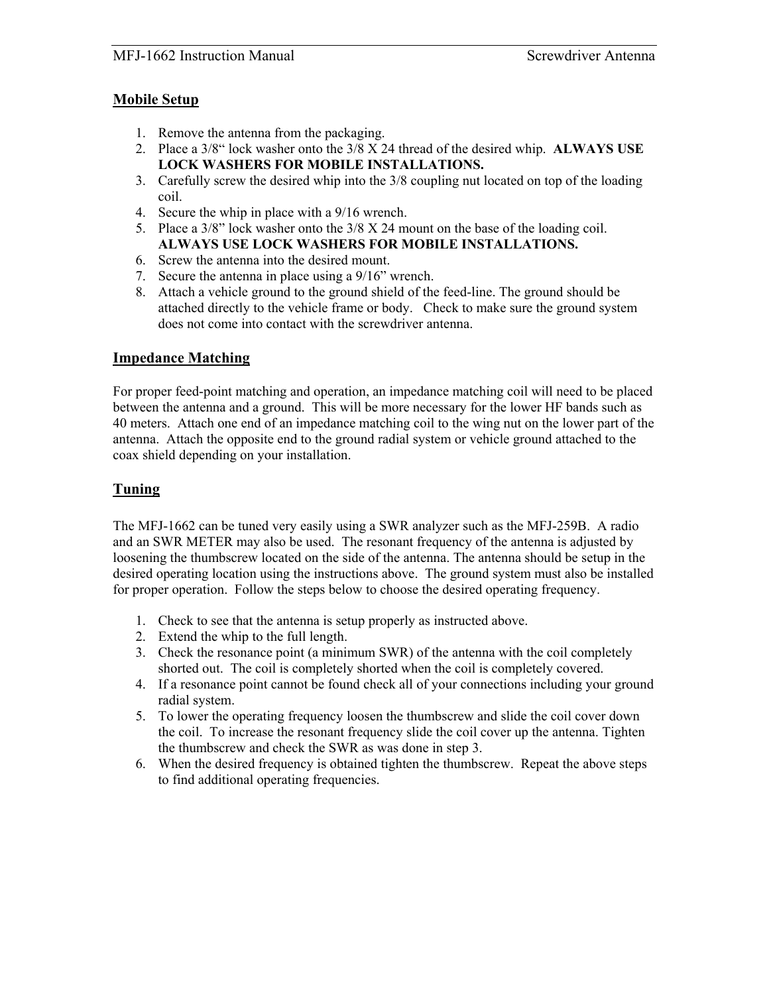#### MFJ-1662 Instruction Manual Screwdriver Antenna

## **Mobile Setup**

- 1. Remove the antenna from the packaging.
- 2. Place a 3/8" lock washer onto the 3/8 X 24 thread of the desired whip. **ALWAYS USE LOCK WASHERS FOR MOBILE INSTALLATIONS.**
- 3. Carefully screw the desired whip into the 3/8 coupling nut located on top of the loading coil.
- 4. Secure the whip in place with a 9/16 wrench.
- 5. Place a 3/8" lock washer onto the 3/8 X 24 mount on the base of the loading coil. **ALWAYS USE LOCK WASHERS FOR MOBILE INSTALLATIONS.**
- 6. Screw the antenna into the desired mount.
- 7. Secure the antenna in place using a 9/16" wrench.
- 8. Attach a vehicle ground to the ground shield of the feed-line. The ground should be attached directly to the vehicle frame or body. Check to make sure the ground system does not come into contact with the screwdriver antenna.

## **Impedance Matching**

For proper feed-point matching and operation, an impedance matching coil will need to be placed between the antenna and a ground. This will be more necessary for the lower HF bands such as 40 meters. Attach one end of an impedance matching coil to the wing nut on the lower part of the antenna. Attach the opposite end to the ground radial system or vehicle ground attached to the coax shield depending on your installation.

# **Tuning**

The MFJ-1662 can be tuned very easily using a SWR analyzer such as the MFJ-259B. A radio and an SWR METER may also be used. The resonant frequency of the antenna is adjusted by loosening the thumbscrew located on the side of the antenna. The antenna should be setup in the desired operating location using the instructions above. The ground system must also be installed for proper operation. Follow the steps below to choose the desired operating frequency.

- 1. Check to see that the antenna is setup properly as instructed above.
- 2. Extend the whip to the full length.
- 3. Check the resonance point (a minimum SWR) of the antenna with the coil completely shorted out. The coil is completely shorted when the coil is completely covered.
- 4. If a resonance point cannot be found check all of your connections including your ground radial system.
- 5. To lower the operating frequency loosen the thumbscrew and slide the coil cover down the coil. To increase the resonant frequency slide the coil cover up the antenna. Tighten the thumbscrew and check the SWR as was done in step 3.
- 6. When the desired frequency is obtained tighten the thumbscrew. Repeat the above steps to find additional operating frequencies.